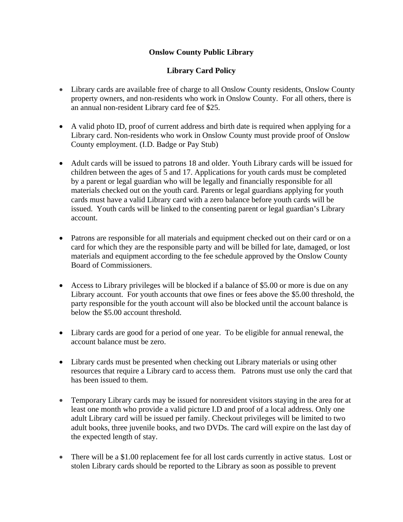## **Onslow County Public Library**

## **Library Card Policy**

- Library cards are available free of charge to all Onslow County residents, Onslow County property owners, and non-residents who work in Onslow County. For all others, there is an annual non-resident Library card fee of \$25.
- A valid photo ID, proof of current address and birth date is required when applying for a Library card. Non-residents who work in Onslow County must provide proof of Onslow County employment. (I.D. Badge or Pay Stub)
- Adult cards will be issued to patrons 18 and older. Youth Library cards will be issued for children between the ages of 5 and 17. Applications for youth cards must be completed by a parent or legal guardian who will be legally and financially responsible for all materials checked out on the youth card. Parents or legal guardians applying for youth cards must have a valid Library card with a zero balance before youth cards will be issued. Youth cards will be linked to the consenting parent or legal guardian's Library account.
- Patrons are responsible for all materials and equipment checked out on their card or on a card for which they are the responsible party and will be billed for late, damaged, or lost materials and equipment according to the fee schedule approved by the Onslow County Board of Commissioners.
- Access to Library privileges will be blocked if a balance of \$5.00 or more is due on any Library account. For youth accounts that owe fines or fees above the \$5.00 threshold, the party responsible for the youth account will also be blocked until the account balance is below the \$5.00 account threshold.
- Library cards are good for a period of one year. To be eligible for annual renewal, the account balance must be zero.
- Library cards must be presented when checking out Library materials or using other resources that require a Library card to access them. Patrons must use only the card that has been issued to them.
- Temporary Library cards may be issued for nonresident visitors staying in the area for at least one month who provide a valid picture I.D and proof of a local address. Only one adult Library card will be issued per family. Checkout privileges will be limited to two adult books, three juvenile books, and two DVDs. The card will expire on the last day of the expected length of stay.
- There will be a \$1.00 replacement fee for all lost cards currently in active status. Lost or stolen Library cards should be reported to the Library as soon as possible to prevent